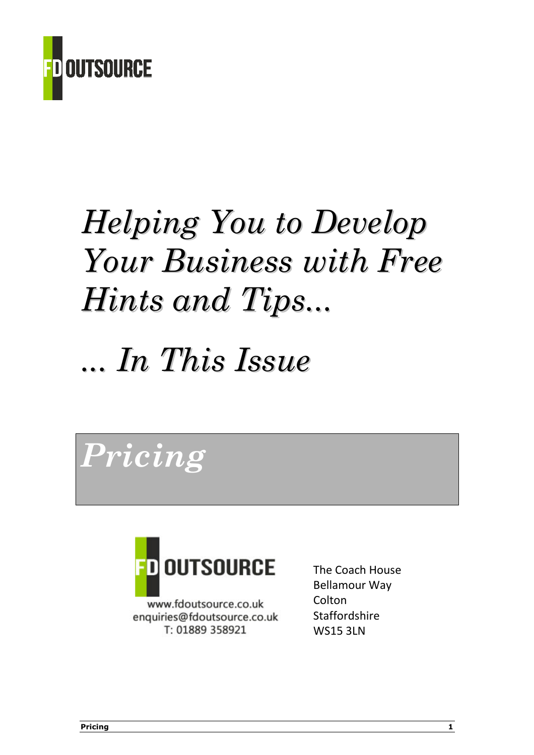

# Helping You to Develop Your Business with Free Hints and Tips...

# ... In This Issue

Pricing



www.fdoutsource.co.uk enquiries@fdoutsource.co.uk T: 01889 358921

The Coach House Bellamour Way **Colton Staffordshire** WS15 3LN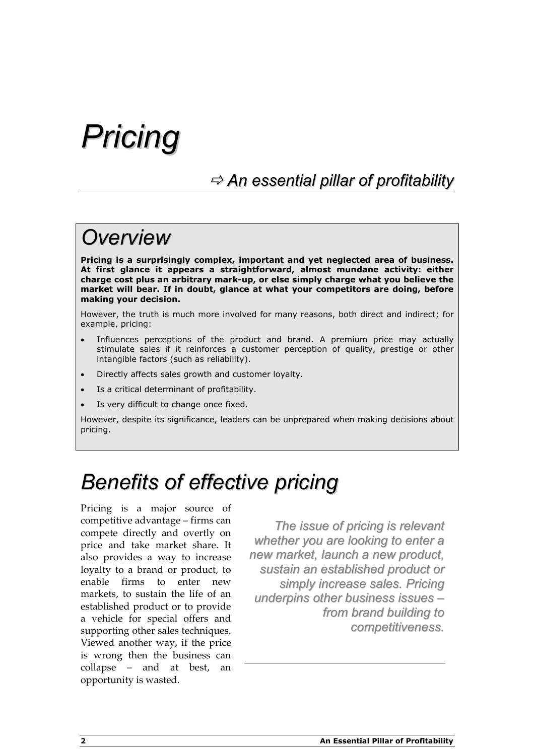## Pricing

### $\Rightarrow$  An essential pillar of profitability

### **Overview**

Pricing is a surprisingly complex, important and yet neglected area of business. At first glance it appears a straightforward, almost mundane activity: either charge cost plus an arbitrary mark-up, or else simply charge what you believe the market will bear. If in doubt, glance at what your competitors are doing, before making your decision.

However, the truth is much more involved for many reasons, both direct and indirect; for example, pricing:

- Influences perceptions of the product and brand. A premium price may actually stimulate sales if it reinforces a customer perception of quality, prestige or other intangible factors (such as reliability).
- Directly affects sales growth and customer loyalty.
- Is a critical determinant of profitability.
- Is very difficult to change once fixed.

However, despite its significance, leaders can be unprepared when making decisions about pricing.

### Benefits of effective pricing

Pricing is a major source of competitive advantage – firms can compete directly and overtly on price and take market share. It also provides a way to increase loyalty to a brand or product, to enable firms to enter new markets, to sustain the life of an established product or to provide a vehicle for special offers and supporting other sales techniques. Viewed another way, if the price is wrong then the business can collapse – and at best, an opportunity is wasted.

The issue of pricing is relevant whether you are looking to enter a new market, launch a new product, sustain an established product or simply increase sales. Pricing underpins other business issues – from brand building to competitiveness.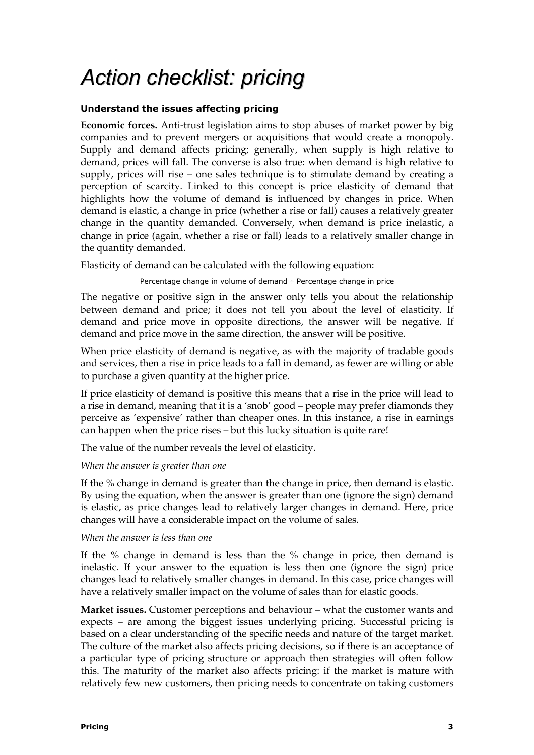## Action checklist: pricing

### Understand the issues affecting pricing

Economic forces. Anti-trust legislation aims to stop abuses of market power by big companies and to prevent mergers or acquisitions that would create a monopoly. Supply and demand affects pricing; generally, when supply is high relative to demand, prices will fall. The converse is also true: when demand is high relative to supply, prices will rise – one sales technique is to stimulate demand by creating a perception of scarcity. Linked to this concept is price elasticity of demand that highlights how the volume of demand is influenced by changes in price. When demand is elastic, a change in price (whether a rise or fall) causes a relatively greater change in the quantity demanded. Conversely, when demand is price inelastic, a change in price (again, whether a rise or fall) leads to a relatively smaller change in the quantity demanded.

Elasticity of demand can be calculated with the following equation:

Percentage change in volume of demand ÷ Percentage change in price

The negative or positive sign in the answer only tells you about the relationship between demand and price; it does not tell you about the level of elasticity. If demand and price move in opposite directions, the answer will be negative. If demand and price move in the same direction, the answer will be positive.

When price elasticity of demand is negative, as with the majority of tradable goods and services, then a rise in price leads to a fall in demand, as fewer are willing or able to purchase a given quantity at the higher price.

If price elasticity of demand is positive this means that a rise in the price will lead to a rise in demand, meaning that it is a 'snob' good – people may prefer diamonds they perceive as 'expensive' rather than cheaper ones. In this instance, a rise in earnings can happen when the price rises – but this lucky situation is quite rare!

The value of the number reveals the level of elasticity.

### When the answer is greater than one

If the % change in demand is greater than the change in price, then demand is elastic. By using the equation, when the answer is greater than one (ignore the sign) demand is elastic, as price changes lead to relatively larger changes in demand. Here, price changes will have a considerable impact on the volume of sales.

### When the answer is less than one

If the % change in demand is less than the % change in price, then demand is inelastic. If your answer to the equation is less then one (ignore the sign) price changes lead to relatively smaller changes in demand. In this case, price changes will have a relatively smaller impact on the volume of sales than for elastic goods.

Market issues. Customer perceptions and behaviour – what the customer wants and expects – are among the biggest issues underlying pricing. Successful pricing is based on a clear understanding of the specific needs and nature of the target market. The culture of the market also affects pricing decisions, so if there is an acceptance of a particular type of pricing structure or approach then strategies will often follow this. The maturity of the market also affects pricing: if the market is mature with relatively few new customers, then pricing needs to concentrate on taking customers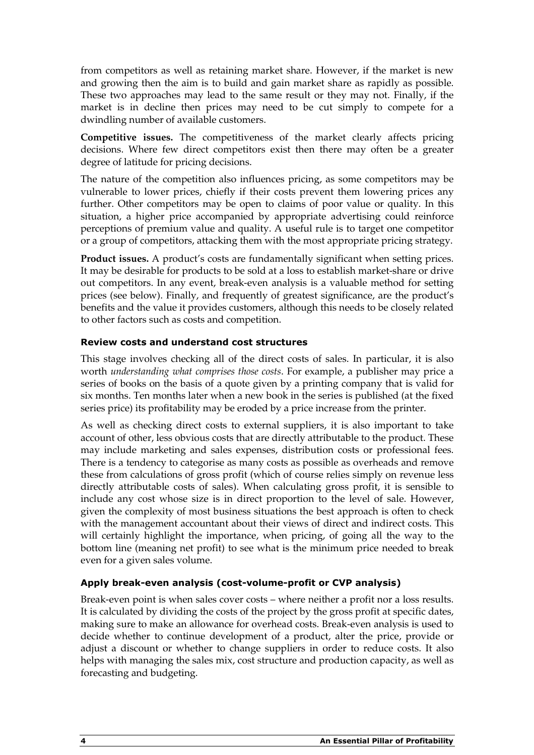from competitors as well as retaining market share. However, if the market is new and growing then the aim is to build and gain market share as rapidly as possible. These two approaches may lead to the same result or they may not. Finally, if the market is in decline then prices may need to be cut simply to compete for a dwindling number of available customers.

Competitive issues. The competitiveness of the market clearly affects pricing decisions. Where few direct competitors exist then there may often be a greater degree of latitude for pricing decisions.

The nature of the competition also influences pricing, as some competitors may be vulnerable to lower prices, chiefly if their costs prevent them lowering prices any further. Other competitors may be open to claims of poor value or quality. In this situation, a higher price accompanied by appropriate advertising could reinforce perceptions of premium value and quality. A useful rule is to target one competitor or a group of competitors, attacking them with the most appropriate pricing strategy.

Product issues. A product's costs are fundamentally significant when setting prices. It may be desirable for products to be sold at a loss to establish market-share or drive out competitors. In any event, break-even analysis is a valuable method for setting prices (see below). Finally, and frequently of greatest significance, are the product's benefits and the value it provides customers, although this needs to be closely related to other factors such as costs and competition.

### Review costs and understand cost structures

This stage involves checking all of the direct costs of sales. In particular, it is also worth understanding what comprises those costs. For example, a publisher may price a series of books on the basis of a quote given by a printing company that is valid for six months. Ten months later when a new book in the series is published (at the fixed series price) its profitability may be eroded by a price increase from the printer.

As well as checking direct costs to external suppliers, it is also important to take account of other, less obvious costs that are directly attributable to the product. These may include marketing and sales expenses, distribution costs or professional fees. There is a tendency to categorise as many costs as possible as overheads and remove these from calculations of gross profit (which of course relies simply on revenue less directly attributable costs of sales). When calculating gross profit, it is sensible to include any cost whose size is in direct proportion to the level of sale. However, given the complexity of most business situations the best approach is often to check with the management accountant about their views of direct and indirect costs. This will certainly highlight the importance, when pricing, of going all the way to the bottom line (meaning net profit) to see what is the minimum price needed to break even for a given sales volume.

### Apply break-even analysis (cost-volume-profit or CVP analysis)

Break-even point is when sales cover costs – where neither a profit nor a loss results. It is calculated by dividing the costs of the project by the gross profit at specific dates, making sure to make an allowance for overhead costs. Break-even analysis is used to decide whether to continue development of a product, alter the price, provide or adjust a discount or whether to change suppliers in order to reduce costs. It also helps with managing the sales mix, cost structure and production capacity, as well as forecasting and budgeting.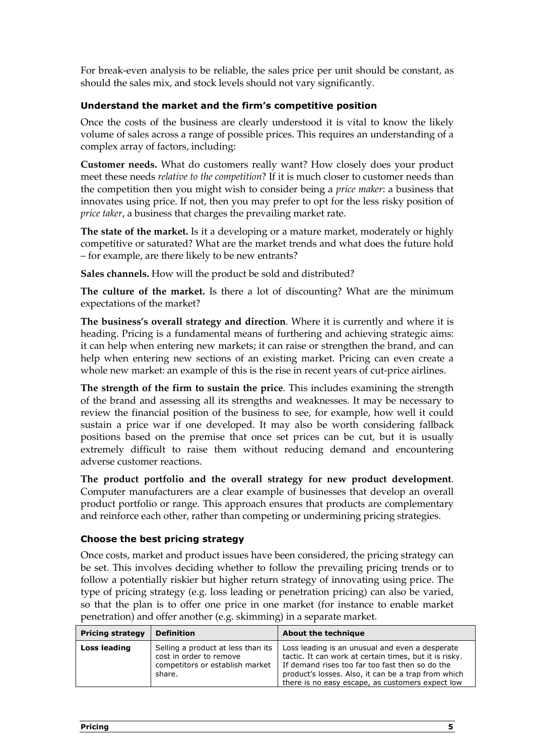For break-even analysis to be reliable, the sales price per unit should be constant, as should the sales mix, and stock levels should not vary significantly.

### Understand the market and the firm's competitive position

Once the costs of the business are clearly understood it is vital to know the likely volume of sales across a range of possible prices. This requires an understanding of a complex array of factors, including:

Customer needs. What do customers really want? How closely does your product meet these needs relative to the competition? If it is much closer to customer needs than the competition then you might wish to consider being a price maker: a business that innovates using price. If not, then you may prefer to opt for the less risky position of price taker, a business that charges the prevailing market rate.

The state of the market. Is it a developing or a mature market, moderately or highly competitive or saturated? What are the market trends and what does the future hold – for example, are there likely to be new entrants?

Sales channels. How will the product be sold and distributed?

The culture of the market. Is there a lot of discounting? What are the minimum expectations of the market?

The business's overall strategy and direction. Where it is currently and where it is heading. Pricing is a fundamental means of furthering and achieving strategic aims: it can help when entering new markets; it can raise or strengthen the brand, and can help when entering new sections of an existing market. Pricing can even create a whole new market: an example of this is the rise in recent years of cut-price airlines.

The strength of the firm to sustain the price. This includes examining the strength of the brand and assessing all its strengths and weaknesses. It may be necessary to review the financial position of the business to see, for example, how well it could sustain a price war if one developed. It may also be worth considering fallback positions based on the premise that once set prices can be cut, but it is usually extremely difficult to raise them without reducing demand and encountering adverse customer reactions.

The product portfolio and the overall strategy for new product development. Computer manufacturers are a clear example of businesses that develop an overall product portfolio or range. This approach ensures that products are complementary and reinforce each other, rather than competing or undermining pricing strategies.

### Choose the best pricing strategy

Once costs, market and product issues have been considered, the pricing strategy can be set. This involves deciding whether to follow the prevailing pricing trends or to follow a potentially riskier but higher return strategy of innovating using price. The type of pricing strategy (e.g. loss leading or penetration pricing) can also be varied, so that the plan is to offer one price in one market (for instance to enable market penetration) and offer another (e.g. skimming) in a separate market.

| <b>Pricing strategy</b> | <b>Definition</b>                                                                                          | About the technique                                                                                                                                                                                                                                                     |
|-------------------------|------------------------------------------------------------------------------------------------------------|-------------------------------------------------------------------------------------------------------------------------------------------------------------------------------------------------------------------------------------------------------------------------|
| Loss leading            | Selling a product at less than its<br>cost in order to remove<br>competitors or establish market<br>share. | Loss leading is an unusual and even a desperate<br>tactic. It can work at certain times, but it is risky.<br>If demand rises too far too fast then so do the<br>product's losses. Also, it can be a trap from which<br>there is no easy escape, as customers expect low |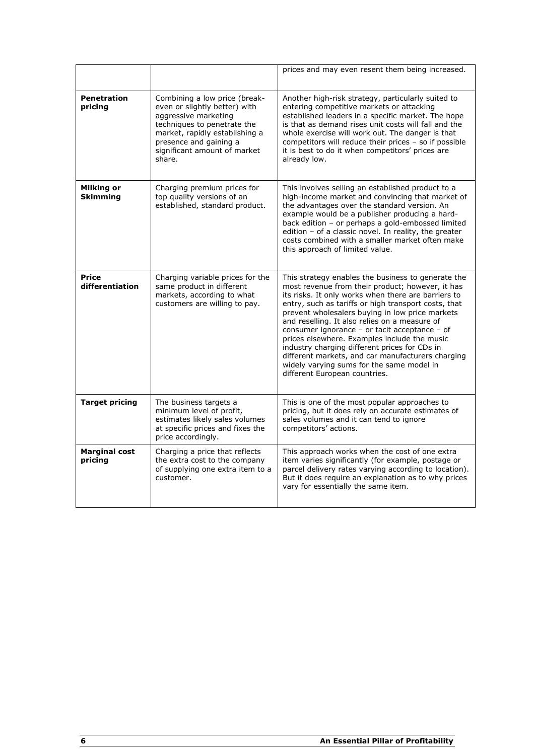|                                      |                                                                                                                                                                                                                             | prices and may even resent them being increased.                                                                                                                                                                                                                                                                                                                                                                                                                                                                                                                                                               |
|--------------------------------------|-----------------------------------------------------------------------------------------------------------------------------------------------------------------------------------------------------------------------------|----------------------------------------------------------------------------------------------------------------------------------------------------------------------------------------------------------------------------------------------------------------------------------------------------------------------------------------------------------------------------------------------------------------------------------------------------------------------------------------------------------------------------------------------------------------------------------------------------------------|
| <b>Penetration</b><br>pricing        | Combining a low price (break-<br>even or slightly better) with<br>aggressive marketing<br>techniques to penetrate the<br>market, rapidly establishing a<br>presence and gaining a<br>significant amount of market<br>share. | Another high-risk strategy, particularly suited to<br>entering competitive markets or attacking<br>established leaders in a specific market. The hope<br>is that as demand rises unit costs will fall and the<br>whole exercise will work out. The danger is that<br>competitors will reduce their prices - so if possible<br>it is best to do it when competitors' prices are<br>already low.                                                                                                                                                                                                                 |
| <b>Milking or</b><br><b>Skimming</b> | Charging premium prices for<br>top quality versions of an<br>established, standard product.                                                                                                                                 | This involves selling an established product to a<br>high-income market and convincing that market of<br>the advantages over the standard version. An<br>example would be a publisher producing a hard-<br>back edition - or perhaps a gold-embossed limited<br>edition - of a classic novel. In reality, the greater<br>costs combined with a smaller market often make<br>this approach of limited value.                                                                                                                                                                                                    |
| Price<br>differentiation             | Charging variable prices for the<br>same product in different<br>markets, according to what<br>customers are willing to pay.                                                                                                | This strategy enables the business to generate the<br>most revenue from their product; however, it has<br>its risks. It only works when there are barriers to<br>entry, such as tariffs or high transport costs, that<br>prevent wholesalers buying in low price markets<br>and reselling. It also relies on a measure of<br>consumer ignorance - or tacit acceptance - of<br>prices elsewhere. Examples include the music<br>industry charging different prices for CDs in<br>different markets, and car manufacturers charging<br>widely varying sums for the same model in<br>different European countries. |
| <b>Target pricing</b>                | The business targets a<br>minimum level of profit,<br>estimates likely sales volumes<br>at specific prices and fixes the<br>price accordingly.                                                                              | This is one of the most popular approaches to<br>pricing, but it does rely on accurate estimates of<br>sales volumes and it can tend to ignore<br>competitors' actions.                                                                                                                                                                                                                                                                                                                                                                                                                                        |
| <b>Marginal cost</b><br>pricing      | Charging a price that reflects<br>the extra cost to the company<br>of supplying one extra item to a<br>customer.                                                                                                            | This approach works when the cost of one extra<br>item varies significantly (for example, postage or<br>parcel delivery rates varying according to location).<br>But it does require an explanation as to why prices<br>vary for essentially the same item.                                                                                                                                                                                                                                                                                                                                                    |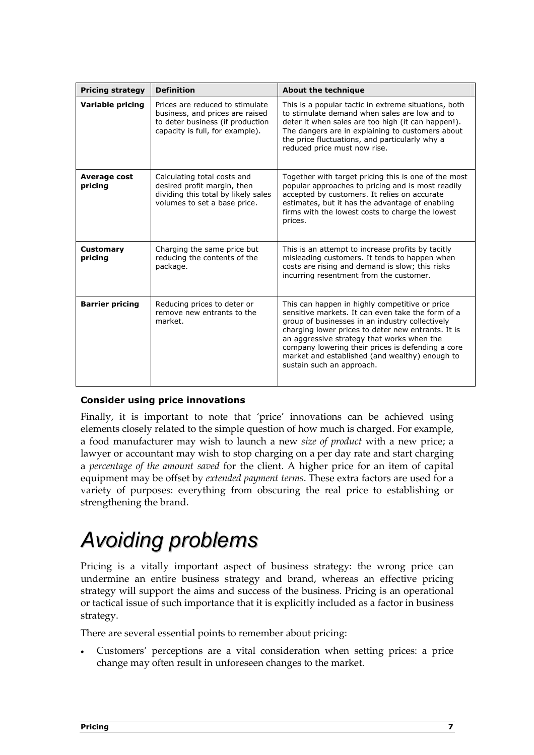| <b>Pricing strategy</b>        | <b>Definition</b>                                                                                                                         | <b>About the technique</b>                                                                                                                                                                                                                                                                                                                                                                     |
|--------------------------------|-------------------------------------------------------------------------------------------------------------------------------------------|------------------------------------------------------------------------------------------------------------------------------------------------------------------------------------------------------------------------------------------------------------------------------------------------------------------------------------------------------------------------------------------------|
| <b>Variable pricing</b>        | Prices are reduced to stimulate<br>business, and prices are raised<br>to deter business (if production<br>capacity is full, for example). | This is a popular tactic in extreme situations, both<br>to stimulate demand when sales are low and to<br>deter it when sales are too high (it can happen!).<br>The dangers are in explaining to customers about<br>the price fluctuations, and particularly why a<br>reduced price must now rise.                                                                                              |
| <b>Average cost</b><br>pricing | Calculating total costs and<br>desired profit margin, then<br>dividing this total by likely sales<br>volumes to set a base price.         | Together with target pricing this is one of the most<br>popular approaches to pricing and is most readily<br>accepted by customers. It relies on accurate<br>estimates, but it has the advantage of enabling<br>firms with the lowest costs to charge the lowest<br>prices.                                                                                                                    |
| <b>Customary</b><br>pricing    | Charging the same price but<br>reducing the contents of the<br>package.                                                                   | This is an attempt to increase profits by tacitly<br>misleading customers. It tends to happen when<br>costs are rising and demand is slow; this risks<br>incurring resentment from the customer.                                                                                                                                                                                               |
| <b>Barrier pricing</b>         | Reducing prices to deter or<br>remove new entrants to the<br>market.                                                                      | This can happen in highly competitive or price<br>sensitive markets. It can even take the form of a<br>group of businesses in an industry collectively<br>charging lower prices to deter new entrants. It is<br>an aggressive strategy that works when the<br>company lowering their prices is defending a core<br>market and established (and wealthy) enough to<br>sustain such an approach. |

### Consider using price innovations

Finally, it is important to note that 'price' innovations can be achieved using elements closely related to the simple question of how much is charged. For example, a food manufacturer may wish to launch a new size of product with a new price; a lawyer or accountant may wish to stop charging on a per day rate and start charging a percentage of the amount saved for the client. A higher price for an item of capital equipment may be offset by extended payment terms. These extra factors are used for a variety of purposes: everything from obscuring the real price to establishing or strengthening the brand.

### Avoiding problems

Pricing is a vitally important aspect of business strategy: the wrong price can undermine an entire business strategy and brand, whereas an effective pricing strategy will support the aims and success of the business. Pricing is an operational or tactical issue of such importance that it is explicitly included as a factor in business strategy.

There are several essential points to remember about pricing:

• Customers' perceptions are a vital consideration when setting prices: a price change may often result in unforeseen changes to the market.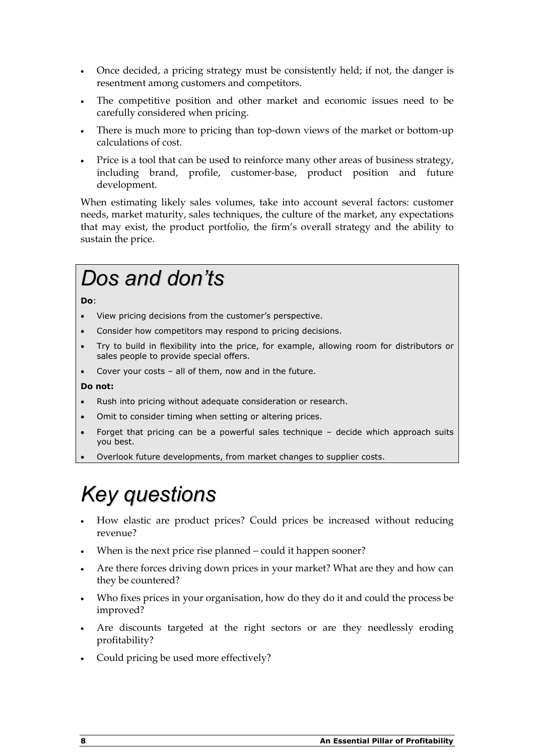- Once decided, a pricing strategy must be consistently held; if not, the danger is resentment among customers and competitors.
- The competitive position and other market and economic issues need to be carefully considered when pricing.
- There is much more to pricing than top-down views of the market or bottom-up calculations of cost.
- Price is a tool that can be used to reinforce many other areas of business strategy, including brand, profile, customer-base, product position and future development.

When estimating likely sales volumes, take into account several factors: customer needs, market maturity, sales techniques, the culture of the market, any expectations that may exist, the product portfolio, the firm's overall strategy and the ability to sustain the price.

## Dos and don'ts

Do:

- View pricing decisions from the customer's perspective.
- Consider how competitors may respond to pricing decisions.
- Try to build in flexibility into the price, for example, allowing room for distributors or sales people to provide special offers.
- Cover your costs  $-$  all of them, now and in the future.

#### Do not:

- Rush into pricing without adequate consideration or research.
- Omit to consider timing when setting or altering prices.
- Forget that pricing can be a powerful sales technique decide which approach suits you best.
- Overlook future developments, from market changes to supplier costs.

### Key questions

- How elastic are product prices? Could prices be increased without reducing revenue?
- When is the next price rise planned could it happen sooner?
- Are there forces driving down prices in your market? What are they and how can they be countered?
- Who fixes prices in your organisation, how do they do it and could the process be improved?
- Are discounts targeted at the right sectors or are they needlessly eroding profitability?
- Could pricing be used more effectively?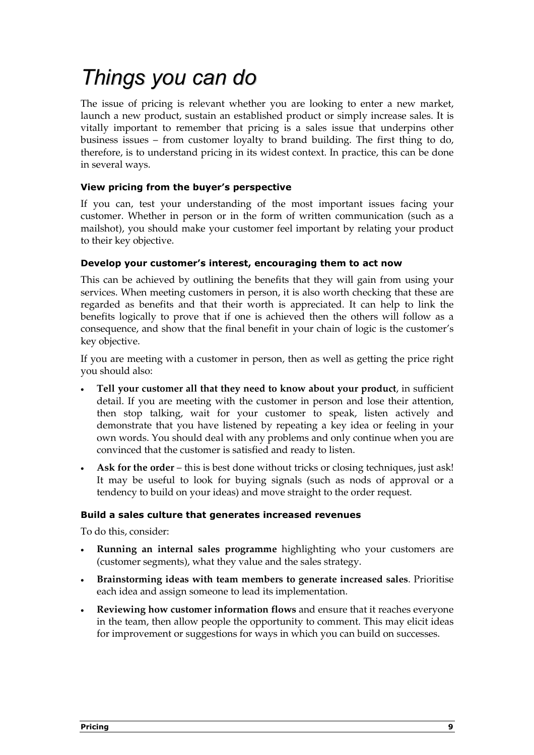## Things you can do

The issue of pricing is relevant whether you are looking to enter a new market, launch a new product, sustain an established product or simply increase sales. It is vitally important to remember that pricing is a sales issue that underpins other business issues – from customer loyalty to brand building. The first thing to do, therefore, is to understand pricing in its widest context. In practice, this can be done in several ways.

### View pricing from the buyer's perspective

If you can, test your understanding of the most important issues facing your customer. Whether in person or in the form of written communication (such as a mailshot), you should make your customer feel important by relating your product to their key objective.

### Develop your customer's interest, encouraging them to act now

This can be achieved by outlining the benefits that they will gain from using your services. When meeting customers in person, it is also worth checking that these are regarded as benefits and that their worth is appreciated. It can help to link the benefits logically to prove that if one is achieved then the others will follow as a consequence, and show that the final benefit in your chain of logic is the customer's key objective.

If you are meeting with a customer in person, then as well as getting the price right you should also:

- Tell your customer all that they need to know about your product, in sufficient detail. If you are meeting with the customer in person and lose their attention, then stop talking, wait for your customer to speak, listen actively and demonstrate that you have listened by repeating a key idea or feeling in your own words. You should deal with any problems and only continue when you are convinced that the customer is satisfied and ready to listen.
- Ask for the order this is best done without tricks or closing techniques, just ask! It may be useful to look for buying signals (such as nods of approval or a tendency to build on your ideas) and move straight to the order request.

### Build a sales culture that generates increased revenues

To do this, consider:

- Running an internal sales programme highlighting who your customers are (customer segments), what they value and the sales strategy.
- Brainstorming ideas with team members to generate increased sales. Prioritise each idea and assign someone to lead its implementation.
- Reviewing how customer information flows and ensure that it reaches everyone in the team, then allow people the opportunity to comment. This may elicit ideas for improvement or suggestions for ways in which you can build on successes.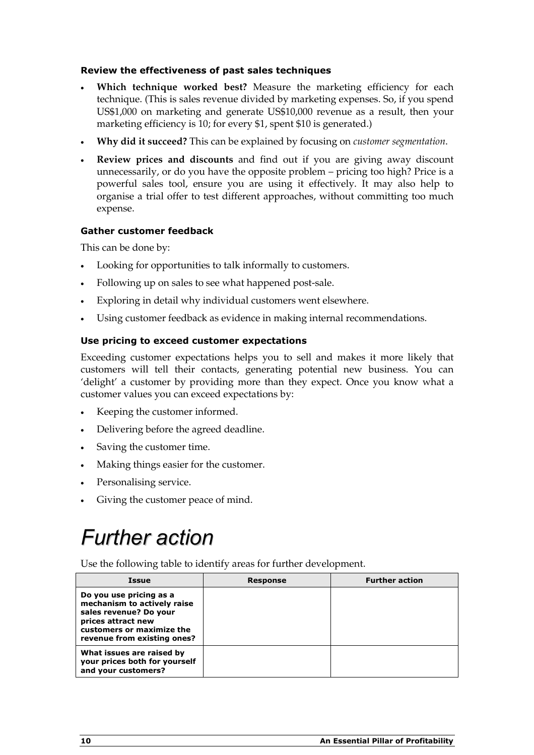### Review the effectiveness of past sales techniques

- Which technique worked best? Measure the marketing efficiency for each technique. (This is sales revenue divided by marketing expenses. So, if you spend US\$1,000 on marketing and generate US\$10,000 revenue as a result, then your marketing efficiency is 10; for every \$1, spent \$10 is generated.)
- Why did it succeed? This can be explained by focusing on customer segmentation.
- Review prices and discounts and find out if you are giving away discount unnecessarily, or do you have the opposite problem – pricing too high? Price is a powerful sales tool, ensure you are using it effectively. It may also help to organise a trial offer to test different approaches, without committing too much expense.

### Gather customer feedback

This can be done by:

- Looking for opportunities to talk informally to customers.
- Following up on sales to see what happened post-sale.
- Exploring in detail why individual customers went elsewhere.
- Using customer feedback as evidence in making internal recommendations.

### Use pricing to exceed customer expectations

Exceeding customer expectations helps you to sell and makes it more likely that customers will tell their contacts, generating potential new business. You can 'delight' a customer by providing more than they expect. Once you know what a customer values you can exceed expectations by:

- Keeping the customer informed.
- Delivering before the agreed deadline.
- Saving the customer time.
- Making things easier for the customer.
- Personalising service.
- Giving the customer peace of mind.

### Further action

Use the following table to identify areas for further development.

| <b>Issue</b>                                                                                                                                                       | <b>Response</b> | <b>Further action</b> |
|--------------------------------------------------------------------------------------------------------------------------------------------------------------------|-----------------|-----------------------|
| Do you use pricing as a<br>mechanism to actively raise<br>sales revenue? Do your<br>prices attract new<br>customers or maximize the<br>revenue from existing ones? |                 |                       |
| What issues are raised by<br>your prices both for yourself<br>and your customers?                                                                                  |                 |                       |